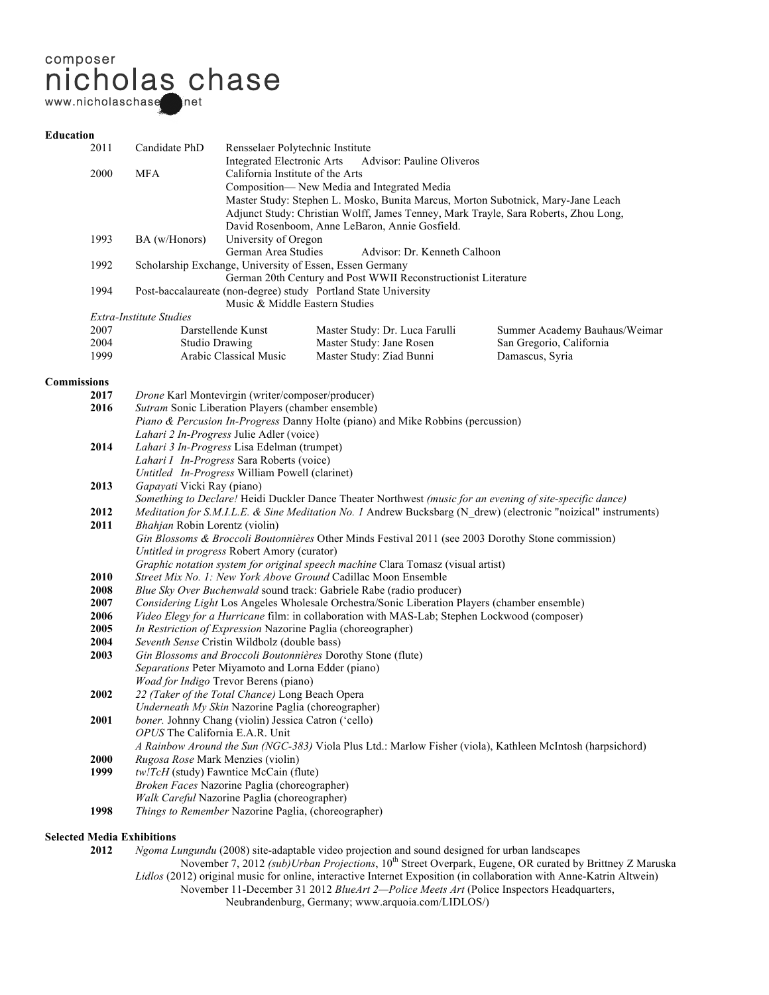# composer nicholas chase www.nicholaschase net

## **Education**

|                    | 2011                                                         | Candidate PhD                                                                                                                                                                                                                                                                                                                                                               | Rensselaer Polytechnic Institute                                                                                           |                                                                                               |                                                                                                            |  |
|--------------------|--------------------------------------------------------------|-----------------------------------------------------------------------------------------------------------------------------------------------------------------------------------------------------------------------------------------------------------------------------------------------------------------------------------------------------------------------------|----------------------------------------------------------------------------------------------------------------------------|-----------------------------------------------------------------------------------------------|------------------------------------------------------------------------------------------------------------|--|
|                    |                                                              |                                                                                                                                                                                                                                                                                                                                                                             | <b>Integrated Electronic Arts</b>                                                                                          | Advisor: Pauline Oliveros                                                                     |                                                                                                            |  |
|                    | 2000                                                         | <b>MFA</b>                                                                                                                                                                                                                                                                                                                                                                  | California Institute of the Arts                                                                                           |                                                                                               |                                                                                                            |  |
|                    |                                                              |                                                                                                                                                                                                                                                                                                                                                                             | Composition-New Media and Integrated Media                                                                                 |                                                                                               |                                                                                                            |  |
|                    |                                                              |                                                                                                                                                                                                                                                                                                                                                                             |                                                                                                                            |                                                                                               | Master Study: Stephen L. Mosko, Bunita Marcus, Morton Subotnick, Mary-Jane Leach                           |  |
|                    |                                                              |                                                                                                                                                                                                                                                                                                                                                                             |                                                                                                                            |                                                                                               | Adjunct Study: Christian Wolff, James Tenney, Mark Trayle, Sara Roberts, Zhou Long,                        |  |
|                    |                                                              |                                                                                                                                                                                                                                                                                                                                                                             |                                                                                                                            | David Rosenboom, Anne LeBaron, Annie Gosfield.                                                |                                                                                                            |  |
|                    | 1993                                                         | BA (w/Honors)                                                                                                                                                                                                                                                                                                                                                               | University of Oregon                                                                                                       |                                                                                               |                                                                                                            |  |
|                    |                                                              |                                                                                                                                                                                                                                                                                                                                                                             | German Area Studies                                                                                                        | Advisor: Dr. Kenneth Calhoon                                                                  |                                                                                                            |  |
|                    | 1992                                                         |                                                                                                                                                                                                                                                                                                                                                                             | Scholarship Exchange, University of Essen, Essen Germany<br>German 20th Century and Post WWII Reconstructionist Literature |                                                                                               |                                                                                                            |  |
|                    |                                                              |                                                                                                                                                                                                                                                                                                                                                                             |                                                                                                                            |                                                                                               |                                                                                                            |  |
|                    | 1994                                                         |                                                                                                                                                                                                                                                                                                                                                                             |                                                                                                                            | Post-baccalaureate (non-degree) study Portland State University                               |                                                                                                            |  |
|                    |                                                              |                                                                                                                                                                                                                                                                                                                                                                             | Music & Middle Eastern Studies                                                                                             |                                                                                               |                                                                                                            |  |
|                    |                                                              | Extra-Institute Studies                                                                                                                                                                                                                                                                                                                                                     |                                                                                                                            |                                                                                               |                                                                                                            |  |
|                    | 2007                                                         |                                                                                                                                                                                                                                                                                                                                                                             | Darstellende Kunst                                                                                                         | Master Study: Dr. Luca Farulli                                                                | Summer Academy Bauhaus/Weimar                                                                              |  |
|                    | 2004                                                         | <b>Studio Drawing</b>                                                                                                                                                                                                                                                                                                                                                       |                                                                                                                            | Master Study: Jane Rosen                                                                      | San Gregorio, California                                                                                   |  |
|                    | 1999                                                         |                                                                                                                                                                                                                                                                                                                                                                             | Arabic Classical Music                                                                                                     | Master Study: Ziad Bunni                                                                      | Damascus, Syria                                                                                            |  |
|                    |                                                              |                                                                                                                                                                                                                                                                                                                                                                             |                                                                                                                            |                                                                                               |                                                                                                            |  |
| <b>Commissions</b> |                                                              |                                                                                                                                                                                                                                                                                                                                                                             |                                                                                                                            |                                                                                               |                                                                                                            |  |
|                    | 2017                                                         | Drone Karl Montevirgin (writer/composer/producer)                                                                                                                                                                                                                                                                                                                           |                                                                                                                            |                                                                                               |                                                                                                            |  |
|                    | 2016                                                         | Sutram Sonic Liberation Players (chamber ensemble)                                                                                                                                                                                                                                                                                                                          |                                                                                                                            |                                                                                               |                                                                                                            |  |
|                    |                                                              |                                                                                                                                                                                                                                                                                                                                                                             |                                                                                                                            | <i>Piano &amp; Percusion In-Progress Danny Holte (piano) and Mike Robbins (percussion)</i>    |                                                                                                            |  |
|                    |                                                              | Lahari 2 In-Progress Julie Adler (voice)                                                                                                                                                                                                                                                                                                                                    |                                                                                                                            |                                                                                               |                                                                                                            |  |
|                    | 2014                                                         | Lahari 3 In-Progress Lisa Edelman (trumpet)                                                                                                                                                                                                                                                                                                                                 |                                                                                                                            |                                                                                               |                                                                                                            |  |
|                    |                                                              | Lahari I In-Progress Sara Roberts (voice)                                                                                                                                                                                                                                                                                                                                   |                                                                                                                            |                                                                                               |                                                                                                            |  |
|                    | 2013                                                         | Untitled In-Progress William Powell (clarinet)                                                                                                                                                                                                                                                                                                                              |                                                                                                                            |                                                                                               |                                                                                                            |  |
|                    |                                                              | Gapayati Vicki Ray (piano)                                                                                                                                                                                                                                                                                                                                                  |                                                                                                                            |                                                                                               |                                                                                                            |  |
|                    | 2012                                                         | Something to Declare! Heidi Duckler Dance Theater Northwest (music for an evening of site-specific dance)                                                                                                                                                                                                                                                                   |                                                                                                                            |                                                                                               |                                                                                                            |  |
|                    | 2011                                                         | Meditation for S.M.I.L.E. & Sine Meditation No. 1 Andrew Bucksbarg (N drew) (electronic "noizical" instruments)<br>Bhahjan Robin Lorentz (violin)                                                                                                                                                                                                                           |                                                                                                                            |                                                                                               |                                                                                                            |  |
|                    |                                                              | Gin Blossoms & Broccoli Boutonnières Other Minds Festival 2011 (see 2003 Dorothy Stone commission)                                                                                                                                                                                                                                                                          |                                                                                                                            |                                                                                               |                                                                                                            |  |
|                    |                                                              |                                                                                                                                                                                                                                                                                                                                                                             | Untitled in progress Robert Amory (curator)                                                                                |                                                                                               |                                                                                                            |  |
|                    |                                                              |                                                                                                                                                                                                                                                                                                                                                                             | Graphic notation system for original speech machine Clara Tomasz (visual artist)                                           |                                                                                               |                                                                                                            |  |
|                    | 2010                                                         |                                                                                                                                                                                                                                                                                                                                                                             |                                                                                                                            | Street Mix No. 1: New York Above Ground Cadillac Moon Ensemble                                |                                                                                                            |  |
|                    | 2008                                                         |                                                                                                                                                                                                                                                                                                                                                                             |                                                                                                                            | Blue Sky Over Buchenwald sound track: Gabriele Rabe (radio producer)                          |                                                                                                            |  |
|                    | 2007                                                         | Considering Light Los Angeles Wholesale Orchestra/Sonic Liberation Players (chamber ensemble)                                                                                                                                                                                                                                                                               |                                                                                                                            |                                                                                               |                                                                                                            |  |
|                    | 2006                                                         | Video Elegy for a Hurricane film: in collaboration with MAS-Lab; Stephen Lockwood (composer)<br>In Restriction of Expression Nazorine Paglia (choreographer)<br>Seventh Sense Cristin Wildbolz (double bass)<br>Gin Blossoms and Broccoli Boutonnières Dorothy Stone (flute)<br>Separations Peter Miyamoto and Lorna Edder (piano)<br>Woad for Indigo Trevor Berens (piano) |                                                                                                                            |                                                                                               |                                                                                                            |  |
|                    | 2005                                                         |                                                                                                                                                                                                                                                                                                                                                                             |                                                                                                                            |                                                                                               |                                                                                                            |  |
|                    | 2004                                                         |                                                                                                                                                                                                                                                                                                                                                                             |                                                                                                                            |                                                                                               |                                                                                                            |  |
|                    | 2003                                                         |                                                                                                                                                                                                                                                                                                                                                                             |                                                                                                                            |                                                                                               |                                                                                                            |  |
|                    |                                                              |                                                                                                                                                                                                                                                                                                                                                                             |                                                                                                                            |                                                                                               |                                                                                                            |  |
|                    |                                                              |                                                                                                                                                                                                                                                                                                                                                                             |                                                                                                                            |                                                                                               |                                                                                                            |  |
|                    | 2002                                                         | 22 (Taker of the Total Chance) Long Beach Opera                                                                                                                                                                                                                                                                                                                             |                                                                                                                            |                                                                                               |                                                                                                            |  |
|                    |                                                              | Underneath My Skin Nazorine Paglia (choreographer)                                                                                                                                                                                                                                                                                                                          |                                                                                                                            |                                                                                               |                                                                                                            |  |
|                    | 2001<br>boner. Johnny Chang (violin) Jessica Catron ('cello) |                                                                                                                                                                                                                                                                                                                                                                             |                                                                                                                            |                                                                                               |                                                                                                            |  |
|                    |                                                              | OPUS The California E.A.R. Unit                                                                                                                                                                                                                                                                                                                                             |                                                                                                                            |                                                                                               |                                                                                                            |  |
|                    |                                                              |                                                                                                                                                                                                                                                                                                                                                                             |                                                                                                                            |                                                                                               | A Rainbow Around the Sun (NGC-383) Viola Plus Ltd.: Marlow Fisher (viola), Kathleen McIntosh (harpsichord) |  |
|                    | 2000                                                         | Rugosa Rose Mark Menzies (violin)                                                                                                                                                                                                                                                                                                                                           |                                                                                                                            |                                                                                               |                                                                                                            |  |
|                    | 1999                                                         | tw!TcH (study) Fawntice McCain (flute)                                                                                                                                                                                                                                                                                                                                      |                                                                                                                            |                                                                                               |                                                                                                            |  |
|                    |                                                              | Broken Faces Nazorine Paglia (choreographer)                                                                                                                                                                                                                                                                                                                                |                                                                                                                            |                                                                                               |                                                                                                            |  |
|                    |                                                              | Walk Careful Nazorine Paglia (choreographer)                                                                                                                                                                                                                                                                                                                                |                                                                                                                            |                                                                                               |                                                                                                            |  |
|                    | 1998                                                         | Things to Remember Nazorine Paglia, (choreographer)                                                                                                                                                                                                                                                                                                                         |                                                                                                                            |                                                                                               |                                                                                                            |  |
|                    | <b>Selected Media Exhibitions</b>                            |                                                                                                                                                                                                                                                                                                                                                                             |                                                                                                                            |                                                                                               |                                                                                                            |  |
|                    | 2012                                                         |                                                                                                                                                                                                                                                                                                                                                                             |                                                                                                                            | Ngoma Lungundu (2008) site-adaptable video projection and sound designed for urban landscapes |                                                                                                            |  |
|                    |                                                              |                                                                                                                                                                                                                                                                                                                                                                             |                                                                                                                            |                                                                                               |                                                                                                            |  |

**2012** *Ngoma Lungundu* (2008) site-adaptable video projection and sound designed for urban landscapes November 7, 2012 *(sub)Urban Projections*, 10<sup>th</sup> Street Overpark, Eugene, OR curated by Brittney Z Maruska *Lidlos* (2012) original music for online, interactive Internet Exposition (in collaboration with Anne-Katrin Altwein) November 11-December 31 2012 *BlueArt 2—Police Meets Art* (Police Inspectors Headquarters, Neubrandenburg, Germany; www.arquoia.com/LIDLOS/)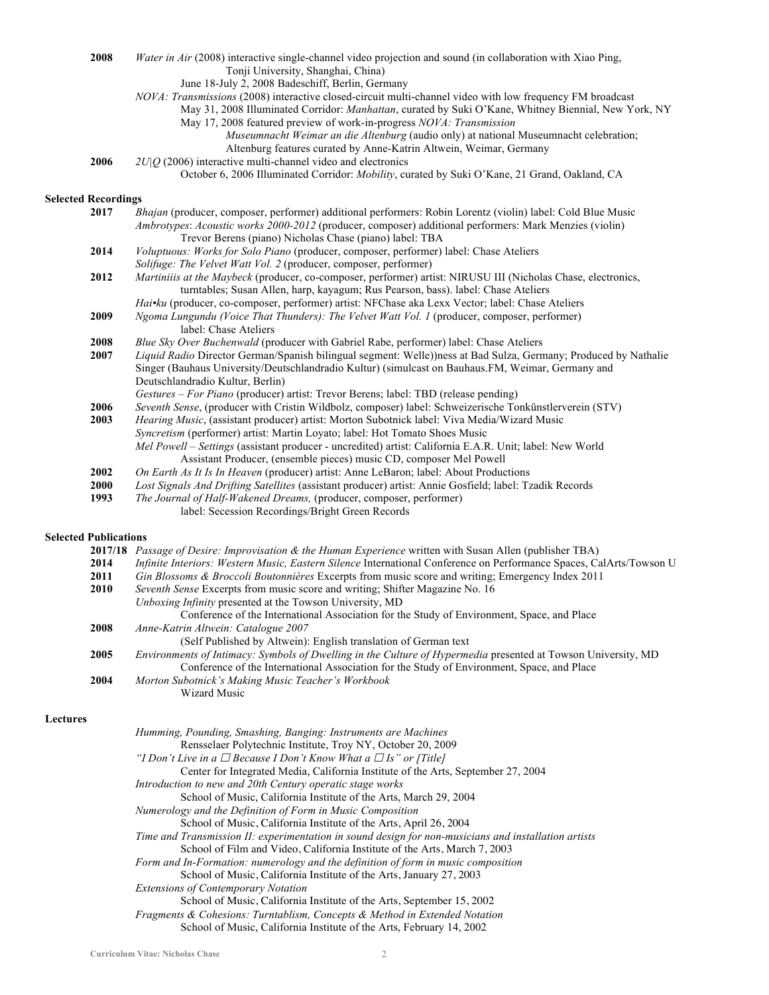**2008** *Water in Air* (2008) interactive single-channel video projection and sound (in collaboration with Xiao Ping, Tonji University, Shanghai, China)

June 18-July 2, 2008 Badeschiff, Berlin, Germany

*NOVA: Transmissions* (2008) interactive closed-circuit multi-channel video with low frequency FM broadcast

May 31, 2008 Illuminated Corridor: *Manhattan*, curated by Suki O'Kane, Whitney Biennial, New York, NY May 17, 2008 featured preview of work-in-progress *NOVA: Transmission*

- *Museumnacht Weimar an die Altenburg* (audio only) at national Museumnacht celebration; Altenburg features curated by Anne-Katrin Altwein, Weimar, Germany
- **2006** *2U|Q* (2006) interactive multi-channel video and electronics

## **Selected Recordings**

| 2017                                                                                                                    | Bhajan (producer, composer, performer) additional performers: Robin Lorentz (violin) label: Cold Blue Music   |
|-------------------------------------------------------------------------------------------------------------------------|---------------------------------------------------------------------------------------------------------------|
|                                                                                                                         | Ambrotypes: Acoustic works 2000-2012 (producer, composer) additional performers: Mark Menzies (violin)        |
|                                                                                                                         | Trevor Berens (piano) Nicholas Chase (piano) label: TBA                                                       |
| 2014                                                                                                                    | Voluptuous: Works for Solo Piano (producer, composer, performer) label: Chase Ateliers                        |
|                                                                                                                         | <i>Solifuge: The Velvet Watt Vol. 2 (producer, composer, performer)</i>                                       |
| 2012                                                                                                                    | Martiniiis at the Maybeck (producer, co-composer, performer) artist: NIRUSU III (Nicholas Chase, electronics, |
|                                                                                                                         | turntables; Susan Allen, harp, kayagum; Rus Pearson, bass). label: Chase Ateliers                             |
|                                                                                                                         | <i>Hai•ku</i> (producer, co-composer, performer) artist: NFChase aka Lexx Vector; label: Chase Ateliers       |
| 2009                                                                                                                    | Ngoma Lungundu (Voice That Thunders): The Velvet Watt Vol. 1 (producer, composer, performer)                  |
|                                                                                                                         | label: Chase Ateliers                                                                                         |
| 2008                                                                                                                    | Blue Sky Over Buchenwald (producer with Gabriel Rabe, performer) label: Chase Ateliers                        |
| Liquid Radio Director German/Spanish bilingual segment: Welle) ness at Bad Sulza, Germany; Produced by Nathalie<br>2007 |                                                                                                               |
|                                                                                                                         | Singer (Bauhaus University/Deutschlandradio Kultur) (simulcast on Bauhaus.FM, Weimar, Germany and             |
|                                                                                                                         | Deutschlandradio Kultur, Berlin)                                                                              |
|                                                                                                                         | <i>Gestures – For Piano</i> (producer) artist: Trevor Berens; label: TBD (release pending)                    |
| 2006                                                                                                                    | Seventh Sense, (producer with Cristin Wildbolz, composer) label: Schweizerische Tonkünstlerverein (STV)       |
| 2003                                                                                                                    | <i>Hearing Music</i> , (assistant producer) artist: Morton Subotnick label: Viva Media/Wizard Music           |
|                                                                                                                         | <i>Syncretism</i> (performer) artist: Martin Loyato; label: Hot Tomato Shoes Music                            |
|                                                                                                                         | Mel Powell – Settings (assistant producer - uncredited) artist: California E.A.R. Unit; label: New World      |
|                                                                                                                         | Assistant Producer, (ensemble pieces) music CD, composer Mel Powell                                           |
| 2002                                                                                                                    | On Earth As It Is In Heaven (producer) artist: Anne LeBaron; label: About Productions                         |
| <b>2000</b>                                                                                                             | Lost Signals And Drifting Satellites (assistant producer) artist: Annie Gosfield; label: Tzadik Records       |
| 1993                                                                                                                    | The Journal of Half-Wakened Dreams, (producer, composer, performer)                                           |
|                                                                                                                         | label: Secession Recordings/Bright Green Records                                                              |

## **Selected Publications**

|             | <b>2017/18</b> Passage of Desire: Improvisation & the Human Experience written with Susan Allen (publisher TBA)                                                                                             |
|-------------|-------------------------------------------------------------------------------------------------------------------------------------------------------------------------------------------------------------|
| 2014        | Infinite Interiors: Western Music, Eastern Silence International Conference on Performance Spaces, CalArts/Towson U                                                                                         |
| 2011        | Gin Blossoms & Broccoli Boutonnières Excerpts from music score and writing; Emergency Index 2011                                                                                                            |
| <b>2010</b> | Seventh Sense Excerpts from music score and writing; Shifter Magazine No. 16                                                                                                                                |
|             | Unboxing Infinity presented at the Towson University, MD                                                                                                                                                    |
|             | Conference of the International Association for the Study of Environment, Space, and Place                                                                                                                  |
| 2008        | Anne-Katrin Altwein: Catalogue 2007                                                                                                                                                                         |
|             | (Self Published by Altwein): English translation of German text                                                                                                                                             |
| 2005        | Environments of Intimacy: Symbols of Dwelling in the Culture of Hypermedia presented at Towson University, MD<br>Conference of the International Association for the Study of Environment, Space, and Place |
| 2004        | Morton Subotnick's Making Music Teacher's Workbook<br>Wizard Music                                                                                                                                          |

## **Lectures**

| Humming, Pounding, Smashing, Banging: Instruments are Machines                                       |
|------------------------------------------------------------------------------------------------------|
| Rensselaer Polytechnic Institute, Troy NY, October 20, 2009                                          |
| "I Don't Live in a $\Box$ Because I Don't Know What a $\Box$ Is" or [Title]                          |
| Center for Integrated Media, California Institute of the Arts, September 27, 2004                    |
| Introduction to new and 20th Century operatic stage works                                            |
| School of Music, California Institute of the Arts, March 29, 2004                                    |
| Numerology and the Definition of Form in Music Composition                                           |
| School of Music, California Institute of the Arts, April 26, 2004                                    |
| Time and Transmission II: experimentation in sound design for non-musicians and installation artists |
| School of Film and Video, California Institute of the Arts, March 7, 2003                            |
| Form and In-Formation: numerology and the definition of form in music composition                    |
| School of Music, California Institute of the Arts, January 27, 2003                                  |
| <b>Extensions of Contemporary Notation</b>                                                           |
| School of Music, California Institute of the Arts, September 15, 2002                                |
| Fragments & Cohesions: Turntablism, Concepts & Method in Extended Notation                           |
| School of Music, California Institute of the Arts, February 14, 2002                                 |

October 6, 2006 Illuminated Corridor: *Mobility*, curated by Suki O'Kane, 21 Grand, Oakland, CA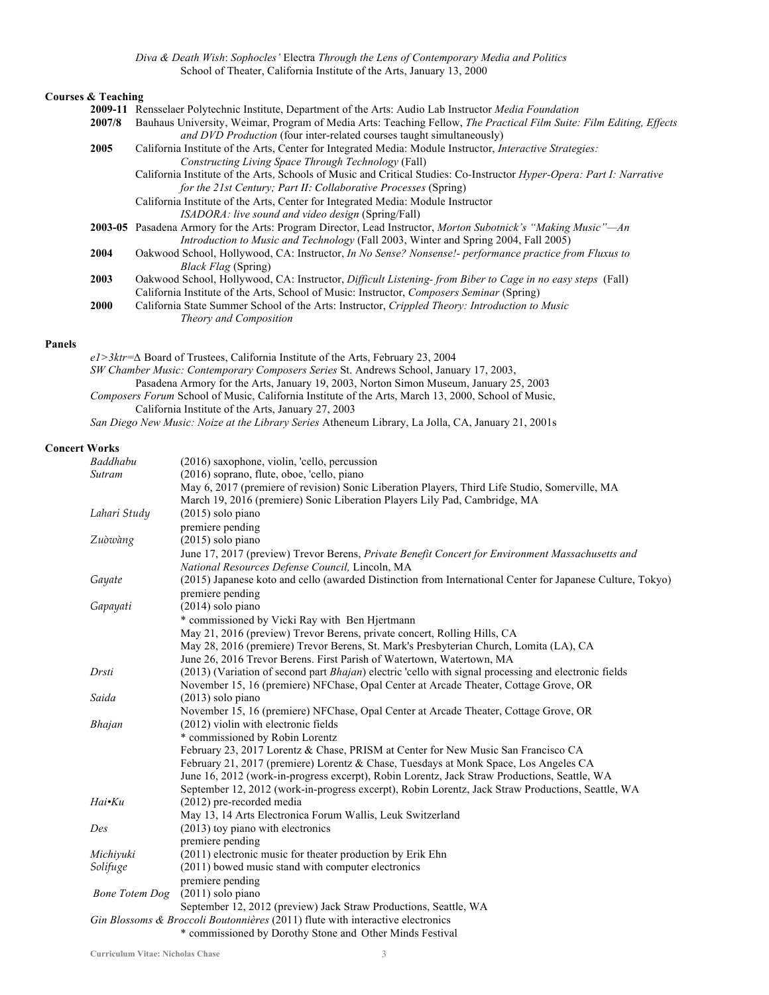*Diva & Death Wish*: *Sophocles'* Electra *Through the Lens of Contemporary Media and Politics* School of Theater, California Institute of the Arts, January 13, 2000

# **Courses & Teaching**

| 2009-11     | Rensselaer Polytechnic Institute, Department of the Arts: Audio Lab Instructor <i>Media Foundation</i>                       |
|-------------|------------------------------------------------------------------------------------------------------------------------------|
| 2007/8      | Bauhaus University, Weimar, Program of Media Arts: Teaching Fellow, The Practical Film Suite: Film Editing, Effects          |
|             | <i>and DVD Production</i> (four inter-related courses taught simultaneously)                                                 |
| 2005        | California Institute of the Arts, Center for Integrated Media: Module Instructor, <i>Interactive Strategies</i> :            |
|             | Constructing Living Space Through Technology (Fall)                                                                          |
|             | California Institute of the Arts, Schools of Music and Critical Studies: Co-Instructor <i>Hyper-Opera: Part I: Narrative</i> |
|             | for the 21st Century; Part II: Collaborative Processes (Spring)                                                              |
|             | California Institute of the Arts, Center for Integrated Media: Module Instructor                                             |
|             | <i>ISADORA: live sound and video design</i> (Spring/Fall)                                                                    |
|             | 2003-05 Pasadena Armory for the Arts: Program Director, Lead Instructor, <i>Morton Subotnick's "Making Music"—An</i>         |
|             | <i>Introduction to Music and Technology</i> (Fall 2003, Winter and Spring 2004, Fall 2005)                                   |
| 2004        | Oakwood School, Hollywood, CA: Instructor, <i>In No Sense? Nonsense!- performance practice from Fluxus to</i>                |
|             | <i>Black Flag</i> (Spring)                                                                                                   |
| 2003        | Oakwood School, Hollywood, CA: Instructor, <i>Difficult Listening-from Biber to Cage in no easy steps</i> (Fall)             |
|             | California Institute of the Arts, School of Music: Instructor, Composers Seminar (Spring)                                    |
| <b>2000</b> | California State Summer School of the Arts: Instructor, Crippled Theory: Introduction to Music                               |
|             | Theory and Composition                                                                                                       |
|             |                                                                                                                              |

## **Panels**

*e1>3ktr=∆* Board of Trustees, California Institute of the Arts, February 23, 2004 *SW Chamber Music: Contemporary Composers Series* St. Andrews School, January 17, 2003, Pasadena Armory for the Arts, January 19, 2003, Norton Simon Museum, January 25, 2003 *Composers Forum* School of Music, California Institute of the Arts, March 13, 2000, School of Music, California Institute of the Arts, January 27, 2003

# *San Diego New Music: Noize at the Library Series* Atheneum Library, La Jolla, CA, January 21, 2001s

## **Concert Works**

| Baddhabu              | (2016) saxophone, violin, 'cello, percussion                                                                                               |  |  |
|-----------------------|--------------------------------------------------------------------------------------------------------------------------------------------|--|--|
| Sutram                | (2016) soprano, flute, oboe, 'cello, piano                                                                                                 |  |  |
|                       | May 6, 2017 (premiere of revision) Sonic Liberation Players, Third Life Studio, Somerville, MA                                             |  |  |
|                       | March 19, 2016 (premiere) Sonic Liberation Players Lily Pad, Cambridge, MA                                                                 |  |  |
| Lahari Study          | $(2015)$ solo piano                                                                                                                        |  |  |
|                       | premiere pending                                                                                                                           |  |  |
| Zuòwàng               | $(2015)$ solo piano                                                                                                                        |  |  |
|                       | June 17, 2017 (preview) Trevor Berens, <i>Private Benefit Concert for Environment Massachusetts and</i>                                    |  |  |
|                       | National Resources Defense Council, Lincoln, MA                                                                                            |  |  |
| Gayate                | (2015) Japanese koto and cello (awarded Distinction from International Center for Japanese Culture, Tokyo)                                 |  |  |
|                       | premiere pending                                                                                                                           |  |  |
| Gapayati              | (2014) solo piano                                                                                                                          |  |  |
|                       | * commissioned by Vicki Ray with Ben Hjertmann                                                                                             |  |  |
|                       | May 21, 2016 (preview) Trevor Berens, private concert, Rolling Hills, CA                                                                   |  |  |
|                       | May 28, 2016 (premiere) Trevor Berens, St. Mark's Presbyterian Church, Lomita (LA), CA                                                     |  |  |
|                       | June 26, 2016 Trevor Berens. First Parish of Watertown, Watertown, MA                                                                      |  |  |
| Drsti                 | (2013) (Variation of second part <i>Bhajan</i> ) electric 'cello with signal processing and electronic fields                              |  |  |
|                       | November 15, 16 (premiere) NFChase, Opal Center at Arcade Theater, Cottage Grove, OR                                                       |  |  |
| Saida                 | $(2013)$ solo piano                                                                                                                        |  |  |
|                       | November 15, 16 (premiere) NFChase, Opal Center at Arcade Theater, Cottage Grove, OR                                                       |  |  |
| <b>Bhajan</b>         | (2012) violin with electronic fields                                                                                                       |  |  |
|                       | * commissioned by Robin Lorentz                                                                                                            |  |  |
|                       | February 23, 2017 Lorentz & Chase, PRISM at Center for New Music San Francisco CA                                                          |  |  |
|                       | February 21, 2017 (premiere) Lorentz & Chase, Tuesdays at Monk Space, Los Angeles CA                                                       |  |  |
|                       | June 16, 2012 (work-in-progress excerpt), Robin Lorentz, Jack Straw Productions, Seattle, WA                                               |  |  |
|                       | September 12, 2012 (work-in-progress excerpt), Robin Lorentz, Jack Straw Productions, Seattle, WA                                          |  |  |
| Hai•Ku                | (2012) pre-recorded media                                                                                                                  |  |  |
|                       | May 13, 14 Arts Electronica Forum Wallis, Leuk Switzerland                                                                                 |  |  |
| Des                   | (2013) toy piano with electronics                                                                                                          |  |  |
|                       | premiere pending                                                                                                                           |  |  |
| Michiyuki             | (2011) electronic music for theater production by Erik Ehn                                                                                 |  |  |
| Solifuge              | (2011) bowed music stand with computer electronics                                                                                         |  |  |
|                       | premiere pending                                                                                                                           |  |  |
| <b>Bone Totem Dog</b> | $(2011)$ solo piano                                                                                                                        |  |  |
|                       | September 12, 2012 (preview) Jack Straw Productions, Seattle, WA                                                                           |  |  |
|                       | Gin Blossoms & Broccoli Boutonnières (2011) flute with interactive electronics<br>* commissioned by Dorothy Stone and Other Minds Festival |  |  |
|                       |                                                                                                                                            |  |  |

commissioned by Dorothy Stone and Other Minds Festival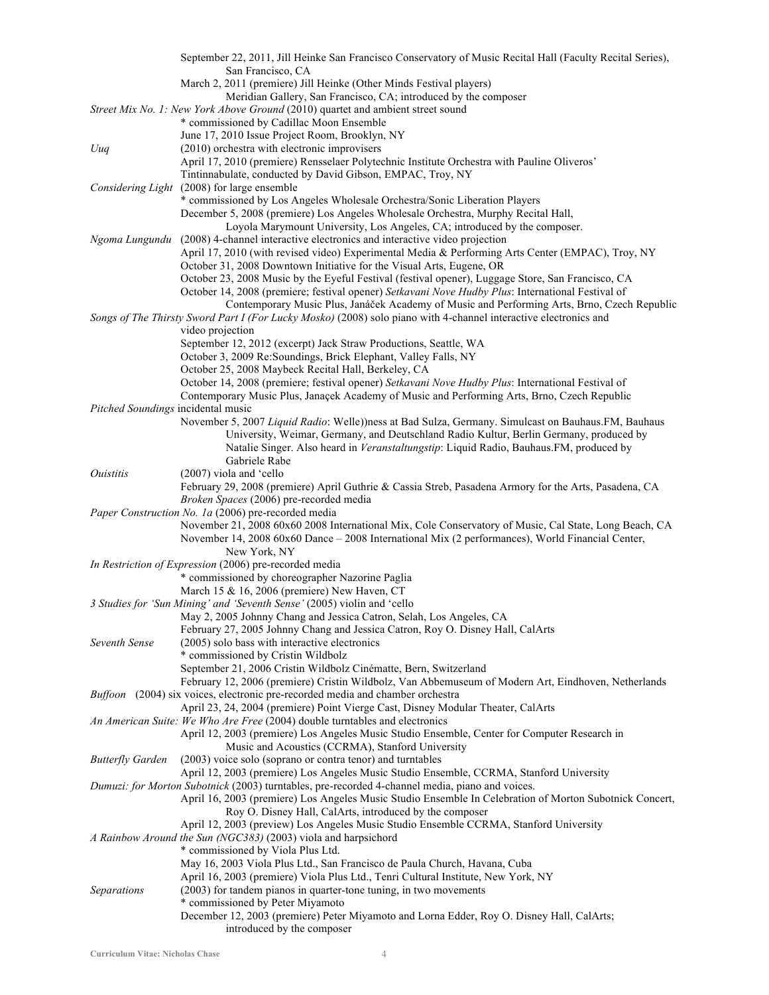|                                    | September 22, 2011, Jill Heinke San Francisco Conservatory of Music Recital Hall (Faculty Recital Series),                                                                  |
|------------------------------------|-----------------------------------------------------------------------------------------------------------------------------------------------------------------------------|
|                                    | San Francisco, CA                                                                                                                                                           |
|                                    | March 2, 2011 (premiere) Jill Heinke (Other Minds Festival players)                                                                                                         |
|                                    | Meridian Gallery, San Francisco, CA; introduced by the composer                                                                                                             |
|                                    | Street Mix No. 1: New York Above Ground (2010) quartet and ambient street sound                                                                                             |
|                                    | * commissioned by Cadillac Moon Ensemble                                                                                                                                    |
|                                    | June 17, 2010 Issue Project Room, Brooklyn, NY                                                                                                                              |
| Uuq                                | (2010) orchestra with electronic improvisers<br>April 17, 2010 (premiere) Rensselaer Polytechnic Institute Orchestra with Pauline Oliveros'                                 |
|                                    | Tintinnabulate, conducted by David Gibson, EMPAC, Troy, NY                                                                                                                  |
|                                    | Considering Light (2008) for large ensemble                                                                                                                                 |
|                                    | * commissioned by Los Angeles Wholesale Orchestra/Sonic Liberation Players                                                                                                  |
|                                    | December 5, 2008 (premiere) Los Angeles Wholesale Orchestra, Murphy Recital Hall,                                                                                           |
|                                    | Loyola Marymount University, Los Angeles, CA; introduced by the composer.                                                                                                   |
| Ngoma Lungundu                     | (2008) 4-channel interactive electronics and interactive video projection                                                                                                   |
|                                    | April 17, 2010 (with revised video) Experimental Media & Performing Arts Center (EMPAC), Troy, NY                                                                           |
|                                    | October 31, 2008 Downtown Initiative for the Visual Arts, Eugene, OR                                                                                                        |
|                                    | October 23, 2008 Music by the Eyeful Festival (festival opener), Luggage Store, San Francisco, CA                                                                           |
|                                    | October 14, 2008 (premiere; festival opener) Setkavani Nove Hudby Plus: International Festival of                                                                           |
|                                    | Contemporary Music Plus, Janáček Academy of Music and Performing Arts, Brno, Czech Republic                                                                                 |
|                                    | Songs of The Thirsty Sword Part I (For Lucky Mosko) (2008) solo piano with 4-channel interactive electronics and                                                            |
|                                    | video projection                                                                                                                                                            |
|                                    | September 12, 2012 (excerpt) Jack Straw Productions, Seattle, WA                                                                                                            |
|                                    | October 3, 2009 Re: Soundings, Brick Elephant, Valley Falls, NY                                                                                                             |
|                                    | October 25, 2008 Maybeck Recital Hall, Berkeley, CA<br>October 14, 2008 (premiere; festival opener) Setkavani Nove Hudby Plus: International Festival of                    |
|                                    | Contemporary Music Plus, Janaçek Academy of Music and Performing Arts, Brno, Czech Republic                                                                                 |
| Pitched Soundings incidental music |                                                                                                                                                                             |
|                                    | November 5, 2007 Liquid Radio: Welle))ness at Bad Sulza, Germany. Simulcast on Bauhaus.FM, Bauhaus                                                                          |
|                                    | University, Weimar, Germany, and Deutschland Radio Kultur, Berlin Germany, produced by                                                                                      |
|                                    | Natalie Singer. Also heard in Veranstaltungstip: Liquid Radio, Bauhaus.FM, produced by                                                                                      |
|                                    | Gabriele Rabe                                                                                                                                                               |
| <i><u><b>Ouistitis</b></u></i>     | $(2007)$ viola and 'cello                                                                                                                                                   |
|                                    | February 29, 2008 (premiere) April Guthrie & Cassia Streb, Pasadena Armory for the Arts, Pasadena, CA                                                                       |
|                                    | <i>Broken Spaces</i> (2006) pre-recorded media                                                                                                                              |
|                                    | Paper Construction No. 1a (2006) pre-recorded media                                                                                                                         |
|                                    | November 21, 2008 60x60 2008 International Mix, Cole Conservatory of Music, Cal State, Long Beach, CA                                                                       |
|                                    | November 14, 2008 60x60 Dance - 2008 International Mix (2 performances), World Financial Center,                                                                            |
|                                    | New York, NY<br>In Restriction of Expression (2006) pre-recorded media                                                                                                      |
|                                    | * commissioned by choreographer Nazorine Paglia                                                                                                                             |
|                                    | March 15 & 16, 2006 (premiere) New Haven, CT                                                                                                                                |
|                                    | 3 Studies for 'Sun Mining' and 'Seventh Sense' (2005) violin and 'cello                                                                                                     |
|                                    | May 2, 2005 Johnny Chang and Jessica Catron, Selah, Los Angeles, CA                                                                                                         |
|                                    | February 27, 2005 Johnny Chang and Jessica Catron, Roy O. Disney Hall, CalArts                                                                                              |
| Seventh Sense                      | (2005) solo bass with interactive electronics                                                                                                                               |
|                                    | * commissioned by Cristin Wildbolz                                                                                                                                          |
|                                    | September 21, 2006 Cristin Wildbolz Cinématte, Bern, Switzerland                                                                                                            |
|                                    | February 12, 2006 (premiere) Cristin Wildbolz, Van Abbemuseum of Modern Art, Eindhoven, Netherlands                                                                         |
|                                    | Buffoon (2004) six voices, electronic pre-recorded media and chamber orchestra                                                                                              |
|                                    | April 23, 24, 2004 (premiere) Point Vierge Cast, Disney Modular Theater, CalArts                                                                                            |
|                                    | An American Suite: We Who Are Free (2004) double turntables and electronics<br>April 12, 2003 (premiere) Los Angeles Music Studio Ensemble, Center for Computer Research in |
|                                    | Music and Acoustics (CCRMA), Stanford University                                                                                                                            |
| <b>Butterfly Garden</b>            | (2003) voice solo (soprano or contra tenor) and turntables                                                                                                                  |
|                                    | April 12, 2003 (premiere) Los Angeles Music Studio Ensemble, CCRMA, Stanford University                                                                                     |
|                                    | Dumuzi: for Morton Subotnick (2003) turntables, pre-recorded 4-channel media, piano and voices.                                                                             |
|                                    | April 16, 2003 (premiere) Los Angeles Music Studio Ensemble In Celebration of Morton Subotnick Concert,                                                                     |
|                                    | Roy O. Disney Hall, CalArts, introduced by the composer                                                                                                                     |
|                                    | April 12, 2003 (preview) Los Angeles Music Studio Ensemble CCRMA, Stanford University                                                                                       |
|                                    | A Rainbow Around the Sun (NGC383) (2003) viola and harpsichord                                                                                                              |
|                                    | * commissioned by Viola Plus Ltd.                                                                                                                                           |
|                                    | May 16, 2003 Viola Plus Ltd., San Francisco de Paula Church, Havana, Cuba                                                                                                   |
|                                    | April 16, 2003 (premiere) Viola Plus Ltd., Tenri Cultural Institute, New York, NY                                                                                           |
| Separations                        | (2003) for tandem pianos in quarter-tone tuning, in two movements                                                                                                           |
|                                    | * commissioned by Peter Miyamoto                                                                                                                                            |
|                                    | December 12, 2003 (premiere) Peter Miyamoto and Lorna Edder, Roy O. Disney Hall, CalArts;                                                                                   |
|                                    | introduced by the composer                                                                                                                                                  |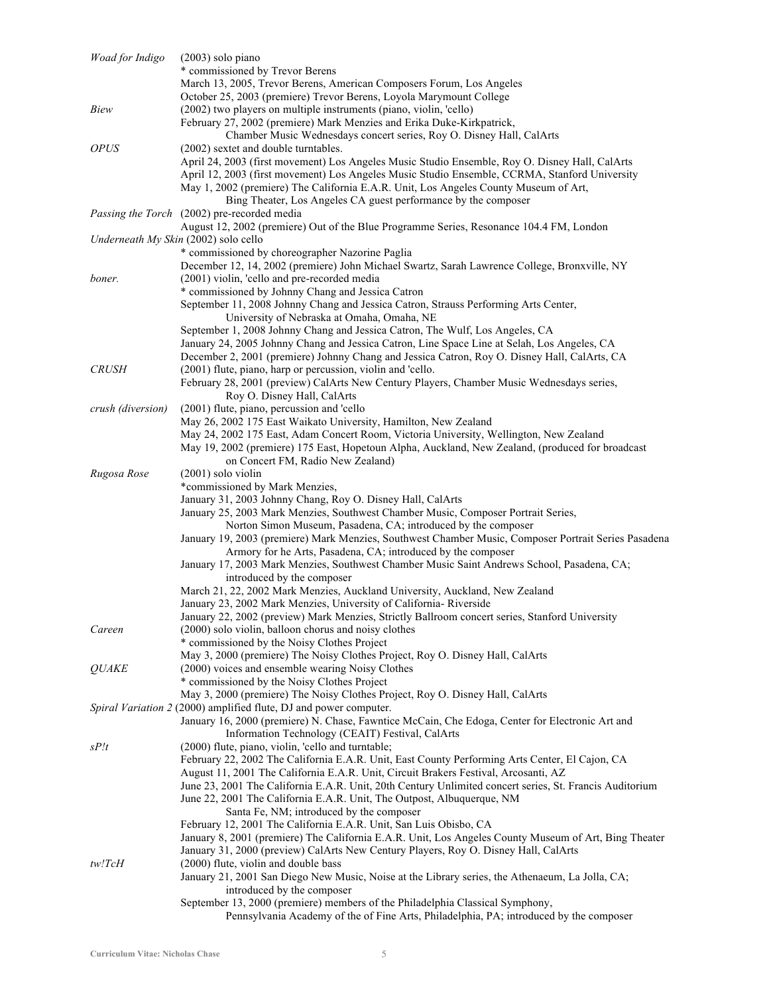| Woad for Indigo   | $(2003)$ solo piano                                                                                                                                  |
|-------------------|------------------------------------------------------------------------------------------------------------------------------------------------------|
|                   | * commissioned by Trevor Berens                                                                                                                      |
|                   | March 13, 2005, Trevor Berens, American Composers Forum, Los Angeles                                                                                 |
|                   | October 25, 2003 (premiere) Trevor Berens, Loyola Marymount College                                                                                  |
| Biew              | (2002) two players on multiple instruments (piano, violin, 'cello)                                                                                   |
|                   | February 27, 2002 (premiere) Mark Menzies and Erika Duke-Kirkpatrick,<br>Chamber Music Wednesdays concert series, Roy O. Disney Hall, CalArts        |
| <b>OPUS</b>       | (2002) sextet and double turntables.                                                                                                                 |
|                   | April 24, 2003 (first movement) Los Angeles Music Studio Ensemble, Roy O. Disney Hall, CalArts                                                       |
|                   | April 12, 2003 (first movement) Los Angeles Music Studio Ensemble, CCRMA, Stanford University                                                        |
|                   | May 1, 2002 (premiere) The California E.A.R. Unit, Los Angeles County Museum of Art,                                                                 |
|                   | Bing Theater, Los Angeles CA guest performance by the composer                                                                                       |
|                   | <i>Passing the Torch</i> (2002) pre-recorded media                                                                                                   |
|                   | August 12, 2002 (premiere) Out of the Blue Programme Series, Resonance 104.4 FM, London                                                              |
|                   | Underneath My Skin (2002) solo cello                                                                                                                 |
|                   | * commissioned by choreographer Nazorine Paglia<br>December 12, 14, 2002 (premiere) John Michael Swartz, Sarah Lawrence College, Bronxville, NY      |
| boner.            | (2001) violin, 'cello and pre-recorded media                                                                                                         |
|                   | * commissioned by Johnny Chang and Jessica Catron                                                                                                    |
|                   | September 11, 2008 Johnny Chang and Jessica Catron, Strauss Performing Arts Center,                                                                  |
|                   | University of Nebraska at Omaha, Omaha, NE                                                                                                           |
|                   | September 1, 2008 Johnny Chang and Jessica Catron, The Wulf, Los Angeles, CA                                                                         |
|                   | January 24, 2005 Johnny Chang and Jessica Catron, Line Space Line at Selah, Los Angeles, CA                                                          |
|                   | December 2, 2001 (premiere) Johnny Chang and Jessica Catron, Roy O. Disney Hall, CalArts, CA                                                         |
| <b>CRUSH</b>      | (2001) flute, piano, harp or percussion, violin and 'cello.                                                                                          |
|                   | February 28, 2001 (preview) CalArts New Century Players, Chamber Music Wednesdays series,<br>Roy O. Disney Hall, CalArts                             |
| crush (diversion) | (2001) flute, piano, percussion and 'cello                                                                                                           |
|                   | May 26, 2002 175 East Waikato University, Hamilton, New Zealand                                                                                      |
|                   | May 24, 2002 175 East, Adam Concert Room, Victoria University, Wellington, New Zealand                                                               |
|                   | May 19, 2002 (premiere) 175 East, Hopetoun Alpha, Auckland, New Zealand, (produced for broadcast                                                     |
|                   | on Concert FM, Radio New Zealand)                                                                                                                    |
| Rugosa Rose       | $(2001)$ solo violin                                                                                                                                 |
|                   | *commissioned by Mark Menzies,                                                                                                                       |
|                   | January 31, 2003 Johnny Chang, Roy O. Disney Hall, CalArts                                                                                           |
|                   | January 25, 2003 Mark Menzies, Southwest Chamber Music, Composer Portrait Series,<br>Norton Simon Museum, Pasadena, CA; introduced by the composer   |
|                   | January 19, 2003 (premiere) Mark Menzies, Southwest Chamber Music, Composer Portrait Series Pasadena                                                 |
|                   | Armory for he Arts, Pasadena, CA; introduced by the composer                                                                                         |
|                   | January 17, 2003 Mark Menzies, Southwest Chamber Music Saint Andrews School, Pasadena, CA;                                                           |
|                   | introduced by the composer                                                                                                                           |
|                   | March 21, 22, 2002 Mark Menzies, Auckland University, Auckland, New Zealand                                                                          |
|                   | January 23, 2002 Mark Menzies, University of California- Riverside                                                                                   |
|                   | January 22, 2002 (preview) Mark Menzies, Strictly Ballroom concert series, Stanford University                                                       |
| Careen            | (2000) solo violin, balloon chorus and noisy clothes<br>* commissioned by the Noisy Clothes Project                                                  |
|                   | May 3, 2000 (premiere) The Noisy Clothes Project, Roy O. Disney Hall, CalArts                                                                        |
| <b>QUAKE</b>      | (2000) voices and ensemble wearing Noisy Clothes                                                                                                     |
|                   | * commissioned by the Noisy Clothes Project                                                                                                          |
|                   | May 3, 2000 (premiere) The Noisy Clothes Project, Roy O. Disney Hall, CalArts                                                                        |
|                   | Spiral Variation 2 (2000) amplified flute, DJ and power computer.                                                                                    |
|                   | January 16, 2000 (premiere) N. Chase, Fawntice McCain, Che Edoga, Center for Electronic Art and                                                      |
|                   | Information Technology (CEAIT) Festival, CalArts                                                                                                     |
| sP/t              | (2000) flute, piano, violin, 'cello and turntable;<br>February 22, 2002 The California E.A.R. Unit, East County Performing Arts Center, El Cajon, CA |
|                   | August 11, 2001 The California E.A.R. Unit, Circuit Brakers Festival, Arcosanti, AZ                                                                  |
|                   | June 23, 2001 The California E.A.R. Unit, 20th Century Unlimited concert series, St. Francis Auditorium                                              |
|                   | June 22, 2001 The California E.A.R. Unit, The Outpost, Albuquerque, NM                                                                               |
|                   | Santa Fe, NM; introduced by the composer                                                                                                             |
|                   | February 12, 2001 The California E.A.R. Unit, San Luis Obisbo, CA                                                                                    |
|                   | January 8, 2001 (premiere) The California E.A.R. Unit, Los Angeles County Museum of Art, Bing Theater                                                |
|                   | January 31, 2000 (preview) CalArts New Century Players, Roy O. Disney Hall, CalArts                                                                  |
| tw!TcH            | (2000) flute, violin and double bass                                                                                                                 |
|                   | January 21, 2001 San Diego New Music, Noise at the Library series, the Athenaeum, La Jolla, CA;<br>introduced by the composer                        |
|                   | September 13, 2000 (premiere) members of the Philadelphia Classical Symphony,                                                                        |
|                   | Pennsylvania Academy of the of Fine Arts, Philadelphia, PA; introduced by the composer                                                               |
|                   |                                                                                                                                                      |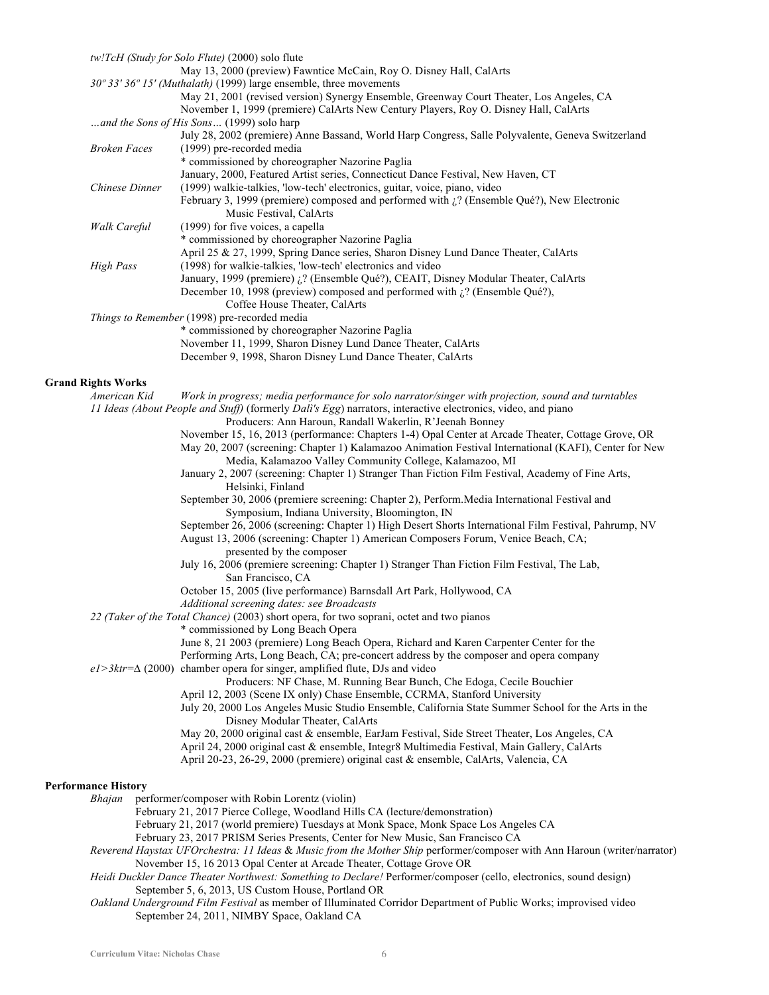|                            | tw!TcH (Study for Solo Flute) (2000) solo flute                                                                          |
|----------------------------|--------------------------------------------------------------------------------------------------------------------------|
|                            | May 13, 2000 (preview) Fawntice McCain, Roy O. Disney Hall, CalArts                                                      |
|                            | 30° 33' 36° 15' (Muthalath) (1999) large ensemble, three movements                                                       |
|                            | May 21, 2001 (revised version) Synergy Ensemble, Greenway Court Theater, Los Angeles, CA                                 |
|                            | November 1, 1999 (premiere) CalArts New Century Players, Roy O. Disney Hall, CalArts                                     |
|                            | and the Sons of His Sons (1999) solo harp                                                                                |
|                            | July 28, 2002 (premiere) Anne Bassand, World Harp Congress, Salle Polyvalente, Geneva Switzerland                        |
| <b>Broken Faces</b>        | (1999) pre-recorded media                                                                                                |
|                            | * commissioned by choreographer Nazorine Paglia                                                                          |
|                            | January, 2000, Featured Artist series, Connecticut Dance Festival, New Haven, CT                                         |
| Chinese Dinner             | (1999) walkie-talkies, 'low-tech' electronics, guitar, voice, piano, video                                               |
|                            | February 3, 1999 (premiere) composed and performed with $\lambda$ ? (Ensemble Qué?), New Electronic                      |
|                            | Music Festival, CalArts                                                                                                  |
| Walk Careful               | (1999) for five voices, a capella                                                                                        |
|                            | * commissioned by choreographer Nazorine Paglia                                                                          |
|                            | April 25 & 27, 1999, Spring Dance series, Sharon Disney Lund Dance Theater, CalArts                                      |
| <b>High Pass</b>           | (1998) for walkie-talkies, 'low-tech' electronics and video                                                              |
|                            | January, 1999 (premiere) ¿? (Ensemble Qué?), CEAIT, Disney Modular Theater, CalArts                                      |
|                            | December 10, 1998 (preview) composed and performed with $\zeta$ ? (Ensemble Qué?),                                       |
|                            | Coffee House Theater, CalArts                                                                                            |
|                            | Things to Remember (1998) pre-recorded media                                                                             |
|                            | * commissioned by choreographer Nazorine Paglia                                                                          |
|                            | November 11, 1999, Sharon Disney Lund Dance Theater, CalArts                                                             |
|                            | December 9, 1998, Sharon Disney Lund Dance Theater, CalArts                                                              |
|                            |                                                                                                                          |
| <b>Grand Rights Works</b>  |                                                                                                                          |
| American Kid               | Work in progress; media performance for solo narrator/singer with projection, sound and turntables                       |
|                            | 11 Ideas (About People and Stuff) (formerly Dali's Egg) narrators, interactive electronics, video, and piano             |
|                            | Producers: Ann Haroun, Randall Wakerlin, R'Jeenah Bonney                                                                 |
|                            | November 15, 16, 2013 (performance: Chapters 1-4) Opal Center at Arcade Theater, Cottage Grove, OR                       |
|                            | May 20, 2007 (screening: Chapter 1) Kalamazoo Animation Festival International (KAFI), Center for New                    |
|                            | Media, Kalamazoo Valley Community College, Kalamazoo, MI                                                                 |
|                            | January 2, 2007 (screening: Chapter 1) Stranger Than Fiction Film Festival, Academy of Fine Arts,                        |
|                            | Helsinki, Finland                                                                                                        |
|                            | September 30, 2006 (premiere screening: Chapter 2), Perform.Media International Festival and                             |
|                            |                                                                                                                          |
|                            | Symposium, Indiana University, Bloomington, IN                                                                           |
|                            | September 26, 2006 (screening: Chapter 1) High Desert Shorts International Film Festival, Pahrump, NV                    |
|                            | August 13, 2006 (screening: Chapter 1) American Composers Forum, Venice Beach, CA;                                       |
|                            | presented by the composer                                                                                                |
|                            | July 16, 2006 (premiere screening: Chapter 1) Stranger Than Fiction Film Festival, The Lab,                              |
|                            | San Francisco, CA                                                                                                        |
|                            | October 15, 2005 (live performance) Barnsdall Art Park, Hollywood, CA                                                    |
|                            | Additional screening dates: see Broadcasts                                                                               |
|                            | 22 (Taker of the Total Chance) (2003) short opera, for two soprani, octet and two pianos                                 |
|                            | * commissioned by Long Beach Opera                                                                                       |
|                            | June 8, 21 2003 (premiere) Long Beach Opera, Richard and Karen Carpenter Center for the                                  |
|                            | Performing Arts, Long Beach, CA; pre-concert address by the composer and opera company                                   |
|                            | $eI > 3ktr = \Delta (2000)$ chamber opera for singer, amplified flute, DJs and video                                     |
|                            | Producers: NF Chase, M. Running Bear Bunch, Che Edoga, Cecile Bouchier                                                   |
|                            | April 12, 2003 (Scene IX only) Chase Ensemble, CCRMA, Stanford University                                                |
|                            | July 20, 2000 Los Angeles Music Studio Ensemble, California State Summer School for the Arts in the                      |
|                            | Disney Modular Theater, CalArts                                                                                          |
|                            | May 20, 2000 original cast & ensemble, EarJam Festival, Side Street Theater, Los Angeles, CA                             |
|                            | April 24, 2000 original cast & ensemble, Integr8 Multimedia Festival, Main Gallery, CalArts                              |
|                            | April 20-23, 26-29, 2000 (premiere) original cast & ensemble, CalArts, Valencia, CA                                      |
|                            |                                                                                                                          |
| <b>Performance History</b> |                                                                                                                          |
| <b>Bhajan</b>              | performer/composer with Robin Lorentz (violin)                                                                           |
|                            | February 21, 2017 Pierce College, Woodland Hills CA (lecture/demonstration)                                              |
|                            | February 21, 2017 (world premiere) Tuesdays at Monk Space, Monk Space Los Angeles CA                                     |
|                            | February 23, 2017 PRISM Series Presents, Center for New Music, San Francisco CA                                          |
|                            | Reverend Haystax UFOrchestra: 11 Ideas & Music from the Mother Ship performer/composer with Ann Haroun (writer/narrator) |
|                            | November 15, 16 2013 Opal Center at Arcade Theater, Cottage Grove OR                                                     |
|                            | Heidi Duckler Dance Theater Northwest: Something to Declare! Performer/composer (cello, electronics, sound design)       |

- September 5, 6, 2013, US Custom House, Portland OR
- *Oakland Underground Film Festival* as member of Illuminated Corridor Department of Public Works; improvised video September 24, 2011, NIMBY Space, Oakland CA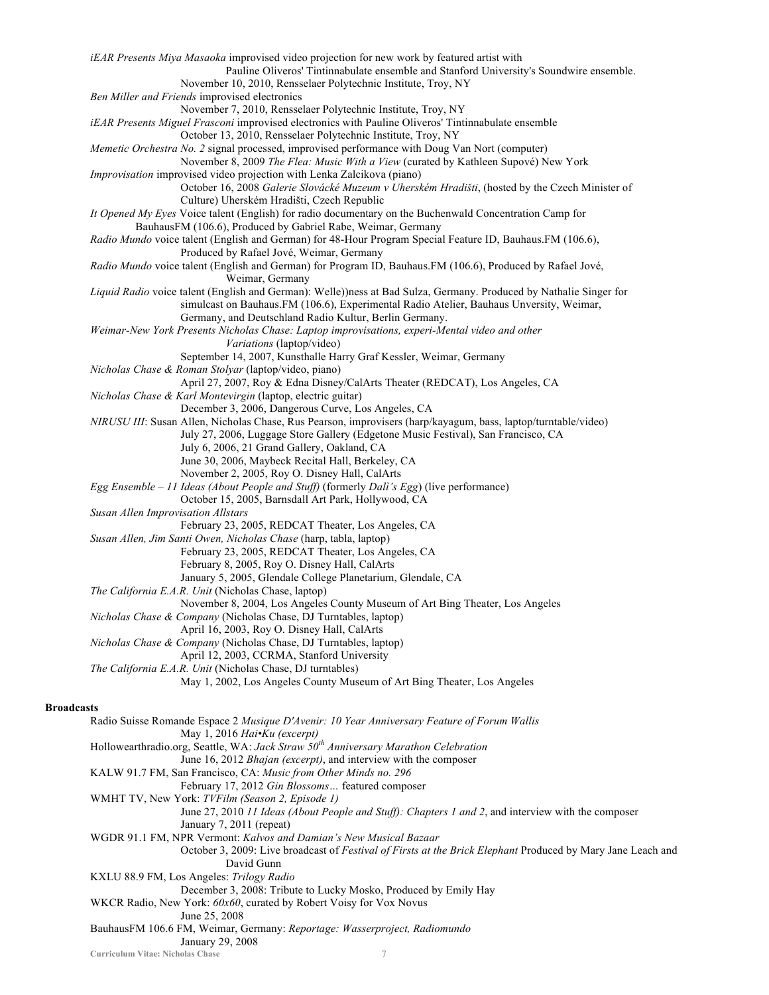**Curriculum Vitae: Nicholas Chase** 7 *iEAR Presents Miya Masaoka* improvised video projection for new work by featured artist with Pauline Oliveros' Tintinnabulate ensemble and Stanford University's Soundwire ensemble. November 10, 2010, Rensselaer Polytechnic Institute, Troy, NY *Ben Miller and Friends* improvised electronics November 7, 2010, Rensselaer Polytechnic Institute, Troy, NY *iEAR Presents Miguel Frasconi* improvised electronics with Pauline Oliveros' Tintinnabulate ensemble October 13, 2010, Rensselaer Polytechnic Institute, Troy, NY *Memetic Orchestra No. 2* signal processed, improvised performance with Doug Van Nort (computer) November 8, 2009 *The Flea: Music With a View* (curated by Kathleen Supové) New York *Improvisation* improvised video projection with Lenka Zalcikova (piano) October 16, 2008 *Galerie Slovácké Muzeum v Uherském Hradišti*, (hosted by the Czech Minister of Culture) Uherském Hradišti, Czech Republic *It Opened My Eyes* Voice talent (English) for radio documentary on the Buchenwald Concentration Camp for BauhausFM (106.6), Produced by Gabriel Rabe, Weimar, Germany *Radio Mundo* voice talent (English and German) for 48-Hour Program Special Feature ID, Bauhaus.FM (106.6), Produced by Rafael Jové, Weimar, Germany *Radio Mundo* voice talent (English and German) for Program ID, Bauhaus.FM (106.6), Produced by Rafael Jové, Weimar, Germany *Liquid Radio* voice talent (English and German): Welle))ness at Bad Sulza, Germany. Produced by Nathalie Singer for simulcast on Bauhaus.FM (106.6), Experimental Radio Atelier, Bauhaus Unversity, Weimar, Germany, and Deutschland Radio Kultur, Berlin Germany. *Weimar-New York Presents Nicholas Chase: Laptop improvisations, experi-Mental video and other Variations* (laptop/video) September 14, 2007, Kunsthalle Harry Graf Kessler, Weimar, Germany *Nicholas Chase & Roman Stolyar* (laptop/video, piano) April 27, 2007, Roy & Edna Disney/CalArts Theater (REDCAT), Los Angeles, CA *Nicholas Chase & Karl Montevirgin* (laptop, electric guitar) December 3, 2006, Dangerous Curve, Los Angeles, CA *NIRUSU III*: Susan Allen, Nicholas Chase, Rus Pearson, improvisers (harp/kayagum, bass, laptop/turntable/video) July 27, 2006, Luggage Store Gallery (Edgetone Music Festival), San Francisco, CA July 6, 2006, 21 Grand Gallery, Oakland, CA June 30, 2006, Maybeck Recital Hall, Berkeley, CA November 2, 2005, Roy O. Disney Hall, CalArts *Egg Ensemble* – *11 Ideas (About People and Stuff)* (formerly *Dalì's Egg*) (live performance) October 15, 2005, Barnsdall Art Park, Hollywood, CA *Susan Allen Improvisation Allstars* February 23, 2005, REDCAT Theater, Los Angeles, CA *Susan Allen, Jim Santi Owen, Nicholas Chase* (harp, tabla, laptop) February 23, 2005, REDCAT Theater, Los Angeles, CA February 8, 2005, Roy O. Disney Hall, CalArts January 5, 2005, Glendale College Planetarium, Glendale, CA *The California E.A.R. Unit* (Nicholas Chase, laptop) November 8, 2004, Los Angeles County Museum of Art Bing Theater, Los Angeles *Nicholas Chase & Company* (Nicholas Chase, DJ Turntables, laptop) April 16, 2003, Roy O. Disney Hall, CalArts *Nicholas Chase & Company* (Nicholas Chase, DJ Turntables, laptop) April 12, 2003, CCRMA, Stanford University *The California E.A.R. Unit* (Nicholas Chase, DJ turntables) May 1, 2002, Los Angeles County Museum of Art Bing Theater, Los Angeles **Broadcasts** Radio Suisse Romande Espace 2 *Musique D'Avenir: 10 Year Anniversary Feature of Forum Wallis* May 1, 2016 *Hai•Ku (excerpt)* Hollowearthradio.org, Seattle, WA: *Jack Straw 50th Anniversary Marathon Celebration* June 16, 2012 *Bhajan (excerpt)*, and interview with the composer KALW 91.7 FM, San Francisco, CA: *Music from Other Minds no. 296* February 17, 2012 *Gin Blossoms…* featured composer WMHT TV, New York: *TVFilm (Season 2, Episode 1)* June 27, 2010 *11 Ideas (About People and Stuff): Chapters 1 and 2*, and interview with the composer January 7, 2011 (repeat) WGDR 91.1 FM, NPR Vermont: *Kalvos and Damian's New Musical Bazaar* October 3, 2009: Live broadcast of *Festival of Firsts at the Brick Elephant* Produced by Mary Jane Leach and David Gunn KXLU 88.9 FM, Los Angeles: *Trilogy Radio* December 3, 2008: Tribute to Lucky Mosko, Produced by Emily Hay WKCR Radio, New York: 60x60, curated by Robert Voisy for Vox Novus June 25, 2008 BauhausFM 106.6 FM, Weimar, Germany: *Reportage: Wasserproject, Radiomundo* January 29, 2008